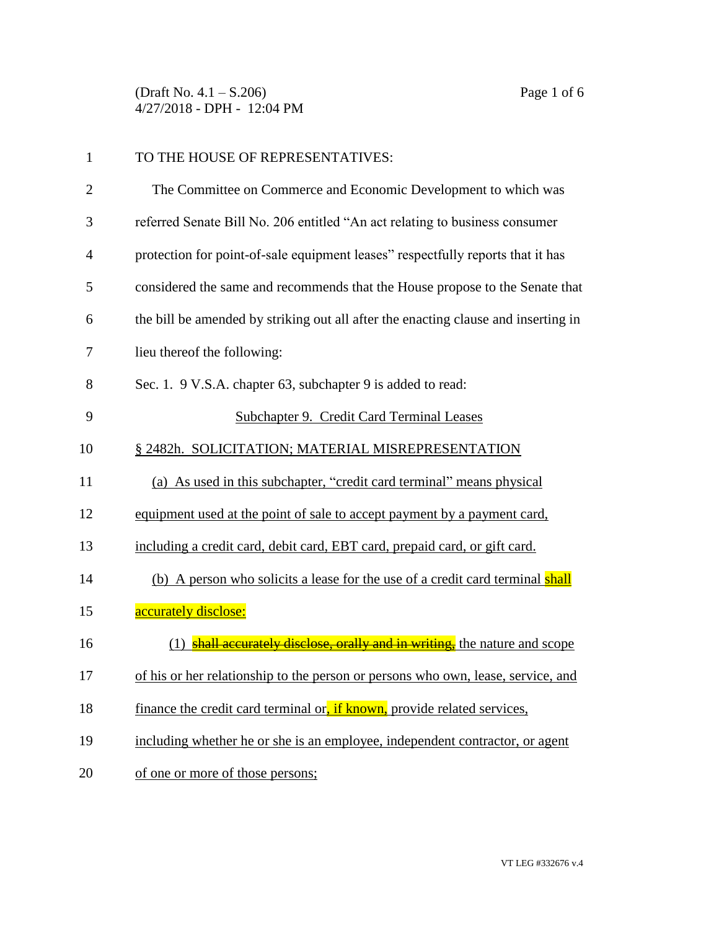(Draft No. 4.1 – S.206) Page 1 of 6 4/27/2018 - DPH - 12:04 PM

| 1              | TO THE HOUSE OF REPRESENTATIVES:                                                   |
|----------------|------------------------------------------------------------------------------------|
| $\overline{2}$ | The Committee on Commerce and Economic Development to which was                    |
| 3              | referred Senate Bill No. 206 entitled "An act relating to business consumer        |
| $\overline{4}$ | protection for point-of-sale equipment leases" respectfully reports that it has    |
| 5              | considered the same and recommends that the House propose to the Senate that       |
| 6              | the bill be amended by striking out all after the enacting clause and inserting in |
| 7              | lieu thereof the following:                                                        |
| 8              | Sec. 1. 9 V.S.A. chapter 63, subchapter 9 is added to read:                        |
| 9              | Subchapter 9. Credit Card Terminal Leases                                          |
| 10             | § 2482h. SOLICITATION; MATERIAL MISREPRESENTATION                                  |
| 11             | (a) As used in this subchapter, "credit card terminal" means physical              |
| 12             | equipment used at the point of sale to accept payment by a payment card,           |
| 13             | including a credit card, debit card, EBT card, prepaid card, or gift card.         |
| 14             | (b) A person who solicits a lease for the use of a credit card terminal shall      |
| 15             | accurately disclose:                                                               |
| 16             | (1) shall accurately disclose, orally and in writing, the nature and scope         |
| 17             | of his or her relationship to the person or persons who own, lease, service, and   |
| 18             | finance the credit card terminal or, if known, provide related services,           |
| 19             | including whether he or she is an employee, independent contractor, or agent       |
| 20             | of one or more of those persons;                                                   |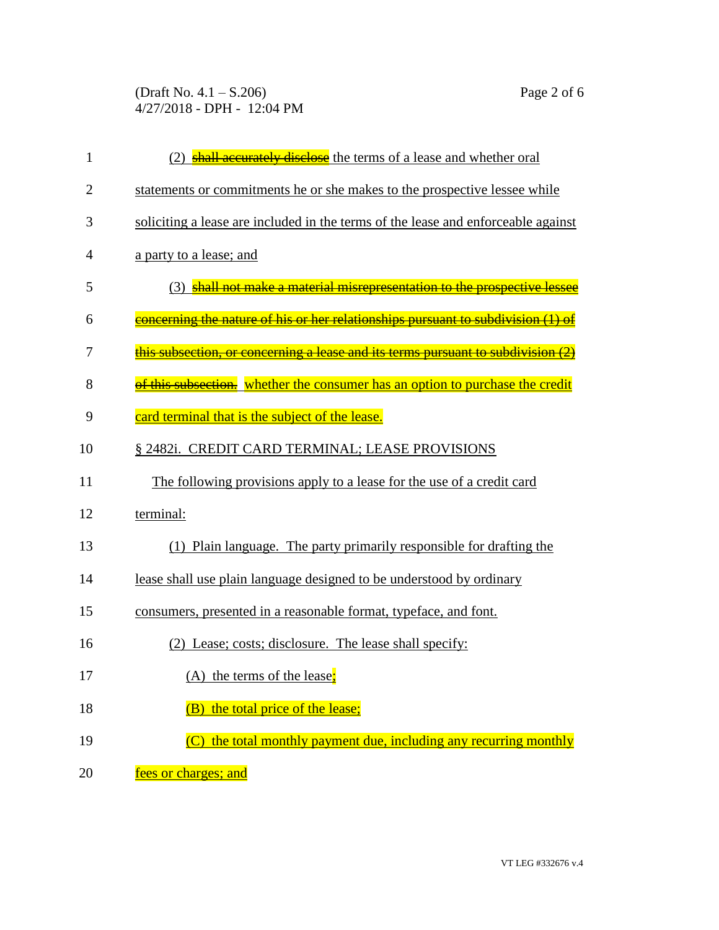(Draft No. 4.1 – S.206) Page 2 of 6 4/27/2018 - DPH - 12:04 PM

| $\mathbf{1}$   | <b>shall accurately disclose</b> the terms of a lease and whether oral              |
|----------------|-------------------------------------------------------------------------------------|
| $\overline{2}$ | statements or commitments he or she makes to the prospective lessee while           |
| 3              | soliciting a lease are included in the terms of the lease and enforceable against   |
| 4              | a party to a lease; and                                                             |
| 5              | (3) shall not make a material misrepresentation to the prospective lessee           |
| 6              | concerning the nature of his or her relationships pursuant to subdivision (1) of    |
| 7              | <u>this subsection, or concerning a lease and its terms pursuant to subdivision</u> |
| 8              | of this subsection. whether the consumer has an option to purchase the credit       |
| 9              | card terminal that is the subject of the lease.                                     |
| 10             | § 2482i. CREDIT CARD TERMINAL; LEASE PROVISIONS                                     |
| 11             | The following provisions apply to a lease for the use of a credit card              |
| 12             | terminal:                                                                           |
| 13             | (1) Plain language. The party primarily responsible for drafting the                |
| 14             | lease shall use plain language designed to be understood by ordinary                |
| 15             | consumers, presented in a reasonable format, typeface, and font.                    |
| 16             | (2) Lease; costs; disclosure. The lease shall specify:                              |
| 17             | $(A)$ the terms of the lease;                                                       |
| 18             | (B) the total price of the lease;                                                   |
| 19             | (C) the total monthly payment due, including any recurring monthly                  |
| 20             | fees or charges; and                                                                |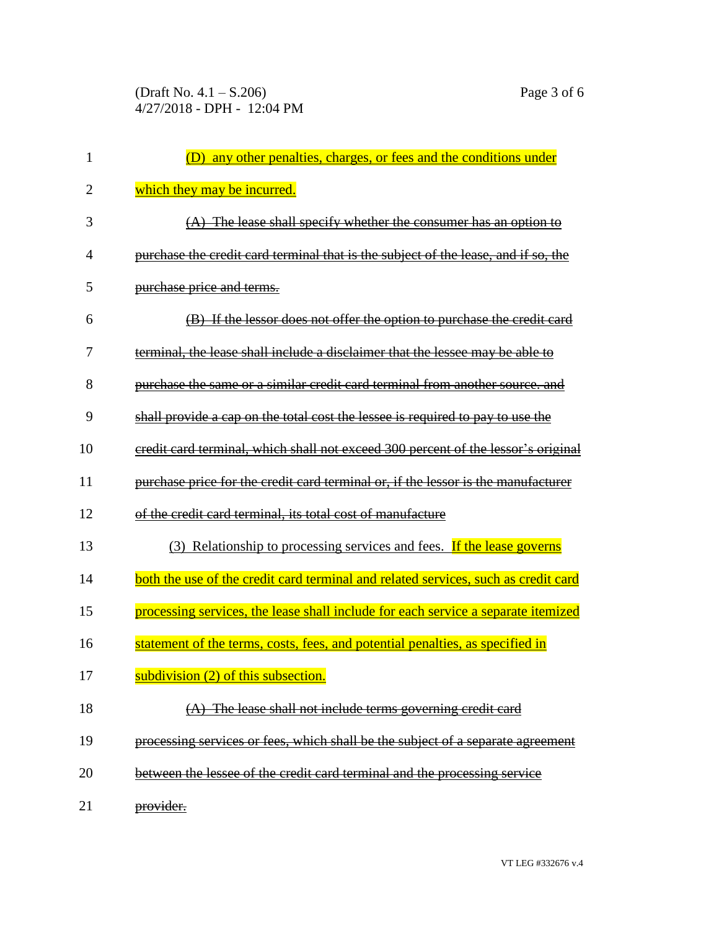| 1  | (D) any other penalties, charges, or fees and the conditions under                 |
|----|------------------------------------------------------------------------------------|
| 2  | which they may be incurred.                                                        |
| 3  | $(A)$ The lease shall specify whether the consumer has an option to                |
| 4  | purchase the credit card terminal that is the subject of the lease, and if so, the |
| 5  | purchase price and terms.                                                          |
| 6  | (B) If the lessor does not offer the option to purchase the credit card            |
| 7  | terminal, the lease shall include a disclaimer that the lessee may be able to      |
| 8  | purchase the same or a similar credit card terminal from another source, and       |
| 9  | shall provide a cap on the total cost the lessee is required to pay to use the     |
| 10 | eredit card terminal, which shall not exceed 300 percent of the lessor's original  |
| 11 | purchase price for the credit card terminal or, if the lessor is the manufacturer  |
| 12 | of the credit card terminal, its total cost of manufacture                         |
| 13 | (3) Relationship to processing services and fees. If the lease governs             |
| 14 | both the use of the credit card terminal and related services, such as credit card |
| 15 | processing services, the lease shall include for each service a separate itemized  |
| 16 | statement of the terms, costs, fees, and potential penalties, as specified in      |
| 17 | subdivision $(2)$ of this subsection.<br>a ka                                      |
| 18 | The lease shall not include terms governing credit card                            |
| 19 | processing services or fees, which shall be the subject of a separate agreement    |
| 20 | between the lessee of the credit card terminal and the processing service          |
| 21 | provider.                                                                          |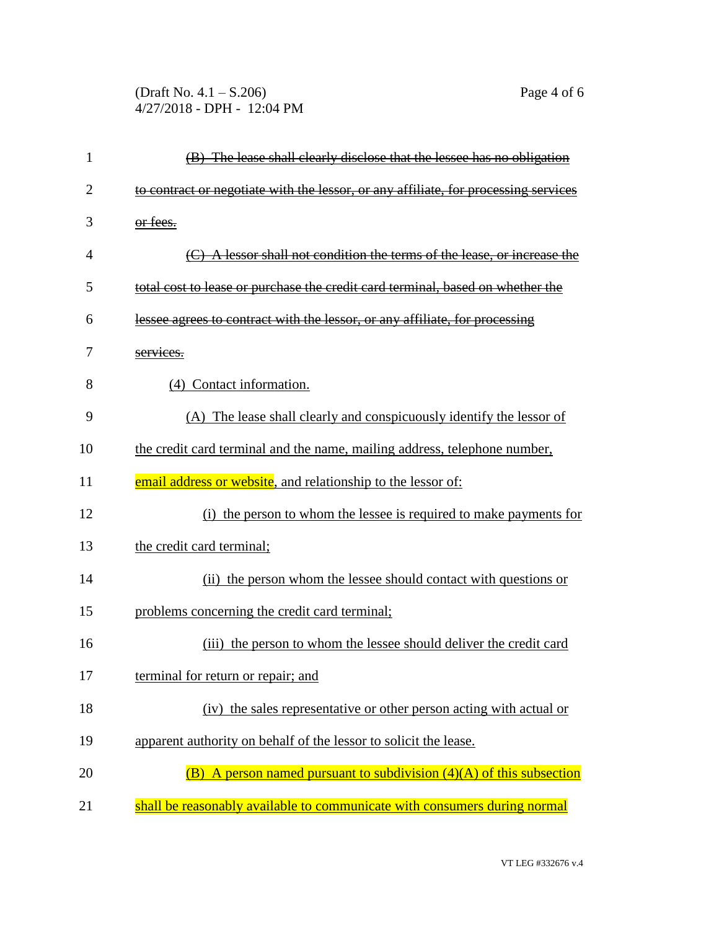(Draft No. 4.1 – S.206) Page 4 of 6 4/27/2018 - DPH - 12:04 PM

| 1  | (B) The lease shall clearly disclose that the lessee has no obligation              |
|----|-------------------------------------------------------------------------------------|
| 2  | to contract or negotiate with the lessor, or any affiliate, for processing services |
| 3  | or fees.                                                                            |
| 4  | A lessor shall not condition the terms of the lease, or increase the                |
| 5  | total cost to lease or purchase the credit card terminal, based on whether the      |
| 6  | lessee agrees to contract with the lessor, or any affiliate, for processing         |
| 7  | services.                                                                           |
| 8  | (4) Contact information.                                                            |
| 9  | (A) The lease shall clearly and conspicuously identify the lessor of                |
| 10 | the credit card terminal and the name, mailing address, telephone number,           |
| 11 | email address or website, and relationship to the lessor of:                        |
| 12 | (i) the person to whom the lessee is required to make payments for                  |
| 13 | the credit card terminal;                                                           |
| 14 | (ii) the person whom the lessee should contact with questions or                    |
| 15 | problems concerning the credit card terminal;                                       |
| 16 | (iii) the person to whom the lessee should deliver the credit card                  |
| 17 | terminal for return or repair; and                                                  |
| 18 | (iv) the sales representative or other person acting with actual or                 |
| 19 | apparent authority on behalf of the lessor to solicit the lease.                    |
| 20 | (B) A person named pursuant to subdivision $(4)(A)$ of this subsection              |
| 21 | shall be reasonably available to communicate with consumers during normal           |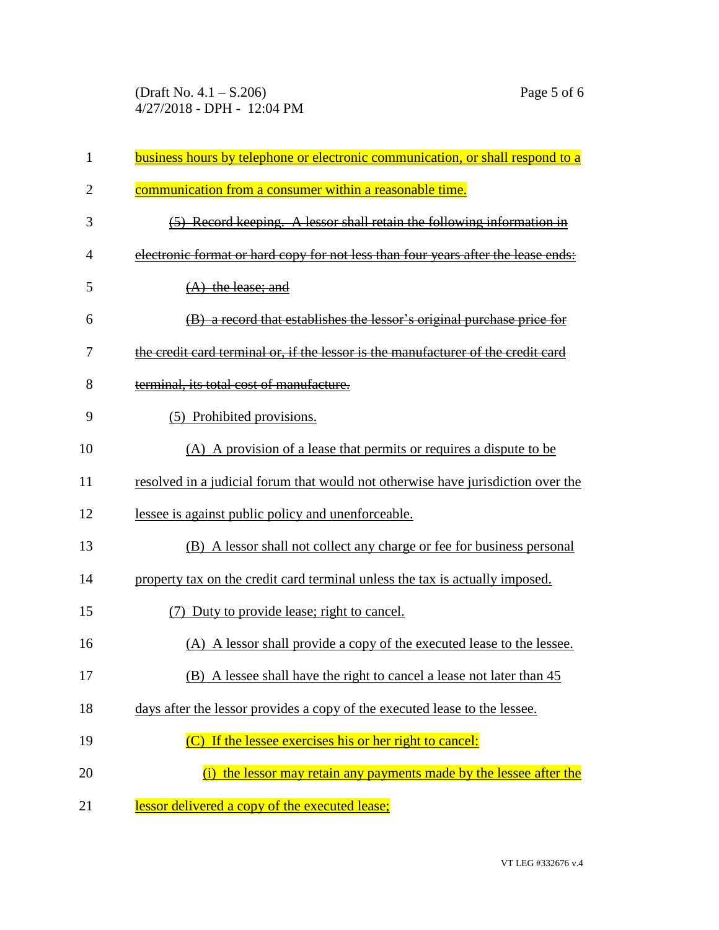| $\mathbf{1}$   | business hours by telephone or electronic communication, or shall respond to a    |
|----------------|-----------------------------------------------------------------------------------|
| $\overline{2}$ | communication from a consumer within a reasonable time.                           |
| 3              | (5) Record keeping. A lessor shall retain the following information in            |
| 4              | electronic format or hard copy for not less than four years after the lease ends: |
| 5              | $(A)$ the lease; and                                                              |
| 6              | (B) a record that establishes the lessor's original purchase price for            |
| 7              | the credit card terminal or, if the lessor is the manufacturer of the credit card |
| 8              | terminal, its total cost of manufacture.                                          |
| 9              | (5) Prohibited provisions.                                                        |
| 10             | (A) A provision of a lease that permits or requires a dispute to be               |
| 11             | resolved in a judicial forum that would not otherwise have jurisdiction over the  |
| 12             | lessee is against public policy and unenforceable.                                |
| 13             | (B) A lessor shall not collect any charge or fee for business personal            |
| 14             | property tax on the credit card terminal unless the tax is actually imposed.      |
| 15             | (7) Duty to provide lease; right to cancel.                                       |
| 16             | (A) A lessor shall provide a copy of the executed lease to the lessee.            |
| 17             | (B) A lessee shall have the right to cancel a lease not later than 45             |
| 18             | days after the lessor provides a copy of the executed lease to the lessee.        |
| 19             | (C) If the lessee exercises his or her right to cancel:                           |
| 20             | the lessor may retain any payments made by the lessee after the                   |
| 21             | lessor delivered a copy of the executed lease;                                    |